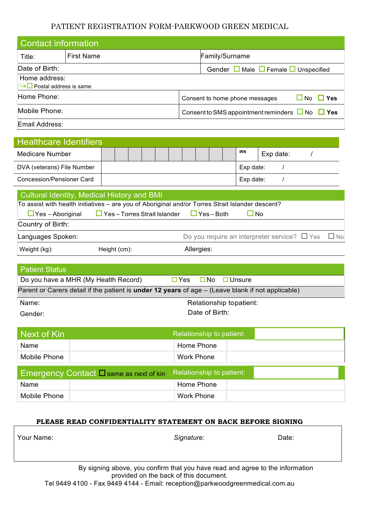### PATIENT REGISTRATION FORM-PARKWOOD GREEN MEDICAL

| <b>Contact information</b>                     |                   |                                                     |                                                              |  |  |  |  |
|------------------------------------------------|-------------------|-----------------------------------------------------|--------------------------------------------------------------|--|--|--|--|
| Title:                                         | <b>First Name</b> |                                                     | Family/Surname                                               |  |  |  |  |
| Date of Birth:                                 |                   | Gender $\Box$ Male $\Box$ Female $\Box$ Unspecified |                                                              |  |  |  |  |
| Home address:<br>$\Box$ Postal address is same |                   |                                                     |                                                              |  |  |  |  |
| Home Phone:                                    |                   |                                                     | $\square$ No<br>$\Box$ Yes<br>Consent to home phone messages |  |  |  |  |
| Mobile Phone:                                  |                   |                                                     | Consent to SMS appointment reminders $\Box$ No $\Box$ Yes    |  |  |  |  |
| Email Address:                                 |                   |                                                     |                                                              |  |  |  |  |

| <b>Healthcare Identifiers</b>                                                                                                                                                                                                                         |              |  |  |  |  |           |            |  |            |           |  |  |
|-------------------------------------------------------------------------------------------------------------------------------------------------------------------------------------------------------------------------------------------------------|--------------|--|--|--|--|-----------|------------|--|------------|-----------|--|--|
| Medicare Number                                                                                                                                                                                                                                       |              |  |  |  |  |           |            |  | <b>IRN</b> | Exp date: |  |  |
| DVA (veterans) File Number                                                                                                                                                                                                                            |              |  |  |  |  |           | Exp date:  |  |            |           |  |  |
| Concession/Pensioner Card                                                                                                                                                                                                                             |              |  |  |  |  | Exp date: |            |  |            |           |  |  |
| Cultural Identity, Medical History and BMI<br>To assist with health initiatives - are you of Aboriginal and/or Torres Strait Islander descent?<br>$\Box$ Yes – Torres Strait Islander<br>$\Box$ Yes - Both<br>$\Box$ Yes – Aboriginal<br>$\square$ No |              |  |  |  |  |           |            |  |            |           |  |  |
| Country of Birth:                                                                                                                                                                                                                                     |              |  |  |  |  |           |            |  |            |           |  |  |
| Do you require an interpreter service? $\Box$ Yes<br>Languages Spoken:                                                                                                                                                                                |              |  |  |  |  | $\Box$ No |            |  |            |           |  |  |
| Weight (kg):                                                                                                                                                                                                                                          | Height (cm): |  |  |  |  |           | Allergies: |  |            |           |  |  |

| <b>Patient Status</b>                                                                                    |                                |  |  |  |  |  |  |
|----------------------------------------------------------------------------------------------------------|--------------------------------|--|--|--|--|--|--|
| Do you have a MHR (My Health Record)                                                                     | □ No □ Unsure<br>$\square$ Yes |  |  |  |  |  |  |
| Parent or Carers detail if the patient is <b>under 12 years</b> of age – (Leave blank if not applicable) |                                |  |  |  |  |  |  |
| Name:                                                                                                    | Relationship topatient:        |  |  |  |  |  |  |
| Gender:                                                                                                  | Date of Birth:                 |  |  |  |  |  |  |

| Next of Kin                                                              | Relationship to patient: |  |  |  |  |
|--------------------------------------------------------------------------|--------------------------|--|--|--|--|
| Name                                                                     | Home Phone               |  |  |  |  |
| Mobile Phone                                                             | <b>Work Phone</b>        |  |  |  |  |
| Relationship to patient:<br>Emergency Contact $\Box$ same as next of kin |                          |  |  |  |  |
|                                                                          |                          |  |  |  |  |
| Name                                                                     | Home Phone               |  |  |  |  |

### **PLEASE READ CONFIDENTIALITY STATEMENT ON BACK BEFORE SIGNING**

| Your Name: | Signature:                                                                    | Date: |  |  |  |  |
|------------|-------------------------------------------------------------------------------|-------|--|--|--|--|
|            |                                                                               |       |  |  |  |  |
|            |                                                                               |       |  |  |  |  |
|            | By signing above, you confirm that you have read and agree to the information |       |  |  |  |  |

provided on the back of this document. Tel 9449 4100 - Fax 9449 4144 - Email: reception@parkwoodgreenmedical.com.au